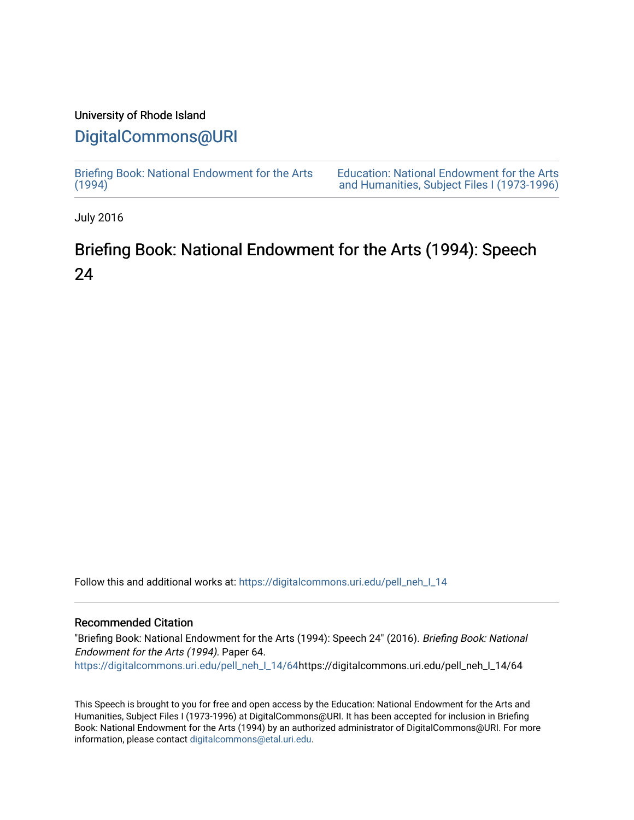## University of Rhode Island

# [DigitalCommons@URI](https://digitalcommons.uri.edu/)

[Briefing Book: National Endowment for the Arts](https://digitalcommons.uri.edu/pell_neh_I_14)  $(1994)$ 

[Education: National Endowment for the Arts](https://digitalcommons.uri.edu/pell_neh_I)  [and Humanities, Subject Files I \(1973-1996\)](https://digitalcommons.uri.edu/pell_neh_I) 

July 2016

# Briefing Book: National Endowment for the Arts (1994): Speech 24

Follow this and additional works at: [https://digitalcommons.uri.edu/pell\\_neh\\_I\\_14](https://digitalcommons.uri.edu/pell_neh_I_14?utm_source=digitalcommons.uri.edu%2Fpell_neh_I_14%2F64&utm_medium=PDF&utm_campaign=PDFCoverPages) 

#### Recommended Citation

"Briefing Book: National Endowment for the Arts (1994): Speech 24" (2016). Briefing Book: National Endowment for the Arts (1994). Paper 64. [https://digitalcommons.uri.edu/pell\\_neh\\_I\\_14/64h](https://digitalcommons.uri.edu/pell_neh_I_14/64?utm_source=digitalcommons.uri.edu%2Fpell_neh_I_14%2F64&utm_medium=PDF&utm_campaign=PDFCoverPages)ttps://digitalcommons.uri.edu/pell\_neh\_I\_14/64

This Speech is brought to you for free and open access by the Education: National Endowment for the Arts and Humanities, Subject Files I (1973-1996) at DigitalCommons@URI. It has been accepted for inclusion in Briefing Book: National Endowment for the Arts (1994) by an authorized administrator of DigitalCommons@URI. For more information, please contact [digitalcommons@etal.uri.edu.](mailto:digitalcommons@etal.uri.edu)